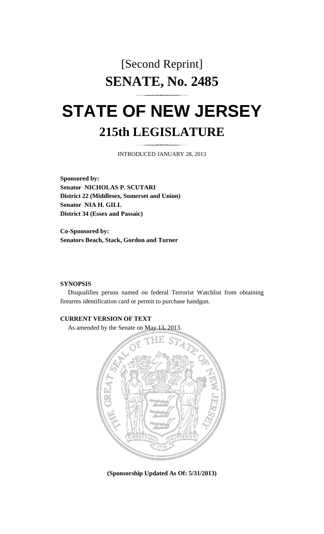## [Second Reprint] **SENATE, No. 2485**

## **STATE OF NEW JERSEY 215th LEGISLATURE**

INTRODUCED JANUARY 28, 2013

**Sponsored by: Senator NICHOLAS P. SCUTARI District 22 (Middlesex, Somerset and Union) Senator NIA H. GILL District 34 (Essex and Passaic)** 

**Co-Sponsored by: Senators Beach, Stack, Gordon and Turner** 

## **SYNOPSIS**

 Disqualifies person named on federal Terrorist Watchlist from obtaining firearms identification card or permit to purchase handgun.

## **CURRENT VERSION OF TEXT**

As amended by the Senate on May 13, 2013.



**(Sponsorship Updated As Of: 5/31/2013)**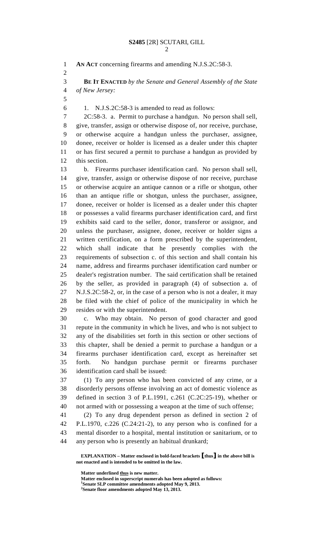1 **AN ACT** concerning firearms and amending N.J.S.2C:58-3.

2

3 **BE IT ENACTED** *by the Senate and General Assembly of the State*  4 *of New Jersey:*

5

6 1. N.J.S.2C:58-3 is amended to read as follows:

7 2C:58-3. a. Permit to purchase a handgun. No person shall sell, 8 give, transfer, assign or otherwise dispose of, nor receive, purchase, 9 or otherwise acquire a handgun unless the purchaser, assignee, 10 donee, receiver or holder is licensed as a dealer under this chapter 11 or has first secured a permit to purchase a handgun as provided by 12 this section.

13 b. Firearms purchaser identification card. No person shall sell, 14 give, transfer, assign or otherwise dispose of nor receive, purchase 15 or otherwise acquire an antique cannon or a rifle or shotgun, other 16 than an antique rifle or shotgun, unless the purchaser, assignee, 17 donee, receiver or holder is licensed as a dealer under this chapter 18 or possesses a valid firearms purchaser identification card, and first 19 exhibits said card to the seller, donor, transferor or assignor, and 20 unless the purchaser, assignee, donee, receiver or holder signs a 21 written certification, on a form prescribed by the superintendent, 22 which shall indicate that he presently complies with the 23 requirements of subsection c. of this section and shall contain his 24 name, address and firearms purchaser identification card number or 25 dealer's registration number. The said certification shall be retained 26 by the seller, as provided in paragraph (4) of subsection a. of 27 N.J.S.2C:58-2, or, in the case of a person who is not a dealer, it may 28 be filed with the chief of police of the municipality in which he 29 resides or with the superintendent.

30 c. Who may obtain. No person of good character and good 31 repute in the community in which he lives, and who is not subject to 32 any of the disabilities set forth in this section or other sections of 33 this chapter, shall be denied a permit to purchase a handgun or a 34 firearms purchaser identification card, except as hereinafter set 35 forth. No handgun purchase permit or firearms purchaser 36 identification card shall be issued:

37 (1) To any person who has been convicted of any crime, or a 38 disorderly persons offense involving an act of domestic violence as 39 defined in section 3 of P.L.1991, c.261 (C.2C:25-19), whether or 40 not armed with or possessing a weapon at the time of such offense;

41 (2) To any drug dependent person as defined in section 2 of 42 P.L.1970, c.226 (C.24:21-2), to any person who is confined for a 43 mental disorder to a hospital, mental institution or sanitarium, or to 44 any person who is presently an habitual drunkard;

 **EXPLANATION – Matter enclosed in bold-faced brackets** [**thus**] **in the above bill is not enacted and is intended to be omitted in the law.** 

**Matter underlined thus is new matter.** 

 **Matter enclosed in superscript numerals has been adopted as follows: 1 Senate SLP committee amendments adopted May 9, 2013.** 

**2 Senate floor amendments adopted May 13, 2013.**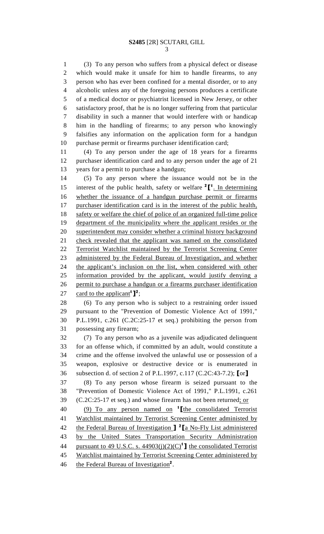3

1 (3) To any person who suffers from a physical defect or disease 2 which would make it unsafe for him to handle firearms, to any 3 person who has ever been confined for a mental disorder, or to any 4 alcoholic unless any of the foregoing persons produces a certificate 5 of a medical doctor or psychiatrist licensed in New Jersey, or other 6 satisfactory proof, that he is no longer suffering from that particular 7 disability in such a manner that would interfere with or handicap 8 him in the handling of firearms; to any person who knowingly 9 falsifies any information on the application form for a handgun 10 purchase permit or firearms purchaser identification card;

11 (4) To any person under the age of 18 years for a firearms 12 purchaser identification card and to any person under the age of 21 13 years for a permit to purchase a handgun;

14 (5) To any person where the issuance would not be in the 15 interest of the public health, safety or welfare  ${}^{2}$ [ $\frac{1}{\cdot}$  In determining 16 whether the issuance of a handgun purchase permit or firearms 17 purchaser identification card is in the interest of the public health, 18 safety or welfare the chief of police of an organized full-time police 19 department of the municipality where the applicant resides or the 20 superintendent may consider whether a criminal history background 21 check revealed that the applicant was named on the consolidated 22 Terrorist Watchlist maintained by the Terrorist Screening Center 23 administered by the Federal Bureau of Investigation, and whether 24 the applicant's inclusion on the list, when considered with other 25 information provided by the applicant, would justify denying a 26 permit to purchase a handgun or a firearms purchaser identification 27 card to the applicant<sup>1</sup>]<sup>2</sup>;

28 (6) To any person who is subject to a restraining order issued 29 pursuant to the "Prevention of Domestic Violence Act of 1991," 30 P.L.1991, c.261 (C.2C:25-17 et seq.) prohibiting the person from 31 possessing any firearm;

32 (7) To any person who as a juvenile was adjudicated delinquent 33 for an offense which, if committed by an adult, would constitute a 34 crime and the offense involved the unlawful use or possession of a 35 weapon, explosive or destructive device or is enumerated in 36 subsection d. of section 2 of P.L.1997, c.117 (C.2C:43-7.2); [or]

37 (8) To any person whose firearm is seized pursuant to the 38 "Prevention of Domestic Violence Act of 1991," P.L.1991, c.261 39 (C.2C:25-17 et seq.) and whose firearm has not been returned; or

40  $(9)$  To any person named on  $\int$ [the consolidated Terrorist] 41 Watchlist maintained by Terrorist Screening Center administed by 42 the Federal Bureau of Investigation  $\int_{a}^{2}$  [a No-Fly List administered 43 by the United States Transportation Security Administration 44 pursuant to 49 U.S.C. s.  $44903(j)(2)(C)^{1}$  the consolidated Terrorist 45 Watchlist maintained by Terrorist Screening Center administered by 46 the Federal Bureau of Investigation<sup>2</sup>.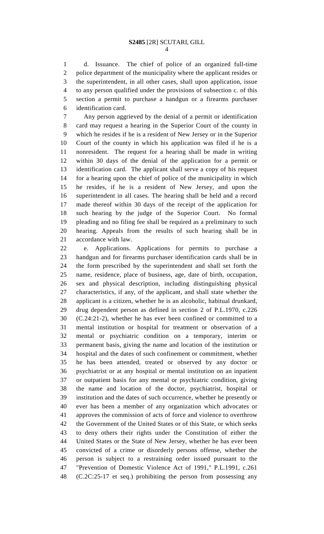1 d. Issuance. The chief of police of an organized full-time 2 police department of the municipality where the applicant resides or 3 the superintendent, in all other cases, shall upon application, issue 4 to any person qualified under the provisions of subsection c. of this 5 section a permit to purchase a handgun or a firearms purchaser 6 identification card.

7 Any person aggrieved by the denial of a permit or identification 8 card may request a hearing in the Superior Court of the county in 9 which he resides if he is a resident of New Jersey or in the Superior 10 Court of the county in which his application was filed if he is a 11 nonresident. The request for a hearing shall be made in writing 12 within 30 days of the denial of the application for a permit or 13 identification card. The applicant shall serve a copy of his request 14 for a hearing upon the chief of police of the municipality in which 15 he resides, if he is a resident of New Jersey, and upon the 16 superintendent in all cases. The hearing shall be held and a record 17 made thereof within 30 days of the receipt of the application for 18 such hearing by the judge of the Superior Court. No formal 19 pleading and no filing fee shall be required as a preliminary to such 20 hearing. Appeals from the results of such hearing shall be in 21 accordance with law.

22 e. Applications. Applications for permits to purchase a 23 handgun and for firearms purchaser identification cards shall be in 24 the form prescribed by the superintendent and shall set forth the 25 name, residence, place of business, age, date of birth, occupation, 26 sex and physical description, including distinguishing physical 27 characteristics, if any, of the applicant, and shall state whether the 28 applicant is a citizen, whether he is an alcoholic, habitual drunkard, 29 drug dependent person as defined in section 2 of P.L.1970, c.226 30 (C.24:21-2), whether he has ever been confined or committed to a 31 mental institution or hospital for treatment or observation of a 32 mental or psychiatric condition on a temporary, interim or 33 permanent basis, giving the name and location of the institution or 34 hospital and the dates of such confinement or commitment, whether 35 he has been attended, treated or observed by any doctor or 36 psychiatrist or at any hospital or mental institution on an inpatient 37 or outpatient basis for any mental or psychiatric condition, giving 38 the name and location of the doctor, psychiatrist, hospital or 39 institution and the dates of such occurrence, whether he presently or 40 ever has been a member of any organization which advocates or 41 approves the commission of acts of force and violence to overthrow 42 the Government of the United States or of this State, or which seeks 43 to deny others their rights under the Constitution of either the 44 United States or the State of New Jersey, whether he has ever been 45 convicted of a crime or disorderly persons offense, whether the 46 person is subject to a restraining order issued pursuant to the 47 "Prevention of Domestic Violence Act of 1991," P.L.1991, c.261 48 (C.2C:25-17 et seq.) prohibiting the person from possessing any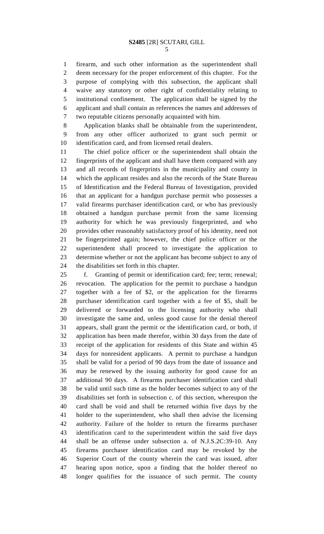5

1 firearm, and such other information as the superintendent shall 2 deem necessary for the proper enforcement of this chapter. For the 3 purpose of complying with this subsection, the applicant shall 4 waive any statutory or other right of confidentiality relating to 5 institutional confinement. The application shall be signed by the 6 applicant and shall contain as references the names and addresses of 7 two reputable citizens personally acquainted with him.

8 Application blanks shall be obtainable from the superintendent, 9 from any other officer authorized to grant such permit or 10 identification card, and from licensed retail dealers.

11 The chief police officer or the superintendent shall obtain the 12 fingerprints of the applicant and shall have them compared with any 13 and all records of fingerprints in the municipality and county in 14 which the applicant resides and also the records of the State Bureau 15 of Identification and the Federal Bureau of Investigation, provided 16 that an applicant for a handgun purchase permit who possesses a 17 valid firearms purchaser identification card, or who has previously 18 obtained a handgun purchase permit from the same licensing 19 authority for which he was previously fingerprinted, and who 20 provides other reasonably satisfactory proof of his identity, need not 21 be fingerprinted again; however, the chief police officer or the 22 superintendent shall proceed to investigate the application to 23 determine whether or not the applicant has become subject to any of 24 the disabilities set forth in this chapter.

25 f. Granting of permit or identification card; fee; term; renewal; 26 revocation. The application for the permit to purchase a handgun 27 together with a fee of \$2, or the application for the firearms 28 purchaser identification card together with a fee of \$5, shall be 29 delivered or forwarded to the licensing authority who shall 30 investigate the same and, unless good cause for the denial thereof 31 appears, shall grant the permit or the identification card, or both, if 32 application has been made therefor, within 30 days from the date of 33 receipt of the application for residents of this State and within 45 34 days for nonresident applicants. A permit to purchase a handgun 35 shall be valid for a period of 90 days from the date of issuance and 36 may be renewed by the issuing authority for good cause for an 37 additional 90 days. A firearms purchaser identification card shall 38 be valid until such time as the holder becomes subject to any of the 39 disabilities set forth in subsection c. of this section, whereupon the 40 card shall be void and shall be returned within five days by the 41 holder to the superintendent, who shall then advise the licensing 42 authority. Failure of the holder to return the firearms purchaser 43 identification card to the superintendent within the said five days 44 shall be an offense under subsection a. of N.J.S.2C:39-10. Any 45 firearms purchaser identification card may be revoked by the 46 Superior Court of the county wherein the card was issued, after 47 hearing upon notice, upon a finding that the holder thereof no 48 longer qualifies for the issuance of such permit. The county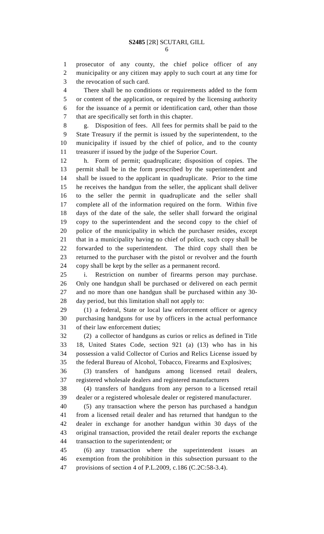1 prosecutor of any county, the chief police officer of any 2 municipality or any citizen may apply to such court at any time for 3 the revocation of such card.

4 There shall be no conditions or requirements added to the form 5 or content of the application, or required by the licensing authority 6 for the issuance of a permit or identification card, other than those 7 that are specifically set forth in this chapter.

8 g. Disposition of fees. All fees for permits shall be paid to the 9 State Treasury if the permit is issued by the superintendent, to the 10 municipality if issued by the chief of police, and to the county 11 treasurer if issued by the judge of the Superior Court.

12 h. Form of permit; quadruplicate; disposition of copies. The 13 permit shall be in the form prescribed by the superintendent and 14 shall be issued to the applicant in quadruplicate. Prior to the time 15 he receives the handgun from the seller, the applicant shall deliver 16 to the seller the permit in quadruplicate and the seller shall 17 complete all of the information required on the form. Within five 18 days of the date of the sale, the seller shall forward the original 19 copy to the superintendent and the second copy to the chief of 20 police of the municipality in which the purchaser resides, except 21 that in a municipality having no chief of police, such copy shall be 22 forwarded to the superintendent. The third copy shall then be 23 returned to the purchaser with the pistol or revolver and the fourth 24 copy shall be kept by the seller as a permanent record.

25 i. Restriction on number of firearms person may purchase. 26 Only one handgun shall be purchased or delivered on each permit 27 and no more than one handgun shall be purchased within any 30- 28 day period, but this limitation shall not apply to:

29 (1) a federal, State or local law enforcement officer or agency 30 purchasing handguns for use by officers in the actual performance 31 of their law enforcement duties;

32 (2) a collector of handguns as curios or relics as defined in Title 33 18, United States Code, section 921 (a) (13) who has in his 34 possession a valid Collector of Curios and Relics License issued by 35 the federal Bureau of Alcohol, Tobacco, Firearms and Explosives;

36 (3) transfers of handguns among licensed retail dealers, 37 registered wholesale dealers and registered manufacturers

38 (4) transfers of handguns from any person to a licensed retail 39 dealer or a registered wholesale dealer or registered manufacturer.

40 (5) any transaction where the person has purchased a handgun 41 from a licensed retail dealer and has returned that handgun to the 42 dealer in exchange for another handgun within 30 days of the 43 original transaction, provided the retail dealer reports the exchange 44 transaction to the superintendent; or

45 (6) any transaction where the superintendent issues an 46 exemption from the prohibition in this subsection pursuant to the 47 provisions of section 4 of P.L.2009, c.186 (C.2C:58-3.4).